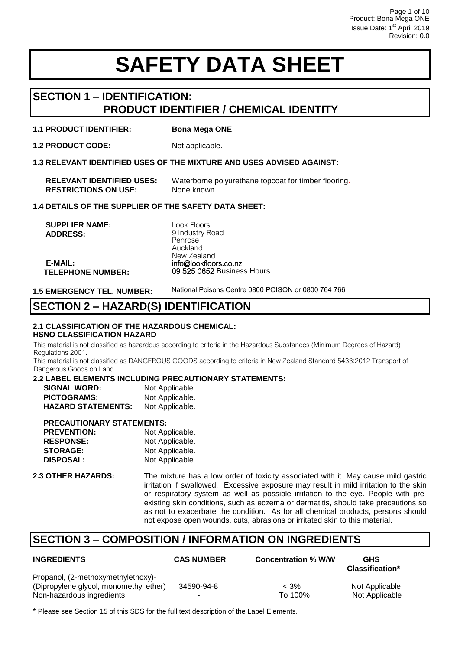# **SECTION 1 – IDENTIFICATION: PRODUCT IDENTIFIER / CHEMICAL IDENTITY**

## **1.1 PRODUCT IDENTIFIER: Bona Mega ONE**

**1.2 PRODUCT CODE:** Not applicable.

**1.3 RELEVANT IDENTIFIED USES OF THE MIXTURE AND USES ADVISED AGAINST:** 

| <b>RELEVANT IDENTIFIED USES:</b> | Waterborne polyurethane topcoat for timber flooring. |
|----------------------------------|------------------------------------------------------|
| <b>RESTRICTIONS ON USE:</b>      | None known.                                          |

#### **1.4 DETAILS OF THE SUPPLIER OF THE SAFETY DATA SHEET:**

 **SUPPLIER NAME: ADDRESS:** 

**E-MAIL:**

Look Floors 9 Industry Road Penrose Auckland [New Zealand](mailto:info@bona.com.au) info@lookfloors.co.nz 09 525 0652 Business Hours

**1.5 EMERGENCY TEL. NUMBER:** 

**TELEPHONE NUMBER:**

National Poisons Centre 0800 POISON or 0800 764 766

# **SECTION 2 – HAZARD(S) IDENTIFICATION**

### **2.1 CLASSIFICATION OF THE HAZARDOUS CHEMICAL: HSNO CLASSIFICATION HAZARD**

This material is not classified as hazardous according to criteria in the Hazardous Substances (Minimum Degrees of Hazard) Regulations 2001.

This material is not classified as DANGEROUS GOODS according to criteria in New Zealand Standard 5433:2012 Transport of Dangerous Goods on Land.

#### **2.2 LABEL ELEMENTS INCLUDING PRECAUTIONARY STATEMENTS:**

| <b>SIGNAL WORD:</b>       | Not Applicable. |
|---------------------------|-----------------|
| <b>PICTOGRAMS:</b>        | Not Applicable. |
| <b>HAZARD STATEMENTS:</b> | Not Applicable. |

### **PRECAUTIONARY STATEMENTS:**

| <b>PREVENTION:</b> | Not Applicable. |
|--------------------|-----------------|
| <b>RESPONSE:</b>   | Not Applicable. |
| <b>STORAGE:</b>    | Not Applicable. |
| <b>DISPOSAL:</b>   | Not Applicable. |
|                    |                 |

**2.3 OTHER HAZARDS:** The mixture has a low order of toxicity associated with it. May cause mild gastric irritation if swallowed. Excessive exposure may result in mild irritation to the skin or respiratory system as well as possible irritation to the eye. People with preexisting skin conditions, such as eczema or dermatitis, should take precautions so as not to exacerbate the condition. As for all chemical products, persons should not expose open wounds, cuts, abrasions or irritated skin to this material.

# **SECTION 3 – COMPOSITION / INFORMATION ON INGREDIENTS**

| <b>INGREDIENTS</b>                                                                                        | <b>CAS NUMBER</b> | <b>Concentration % W/W</b> | <b>GHS</b><br><b>Classification*</b> |
|-----------------------------------------------------------------------------------------------------------|-------------------|----------------------------|--------------------------------------|
| Propanol, (2-methoxymethylethoxy)-<br>(Dipropylene glycol, monomethyl ether)<br>Non-hazardous ingredients | 34590-94-8        | $< 3\%$<br>To 100%         | Not Applicable<br>Not Applicable     |

\* Please see Section 15 of this SDS for the full text description of the Label Elements.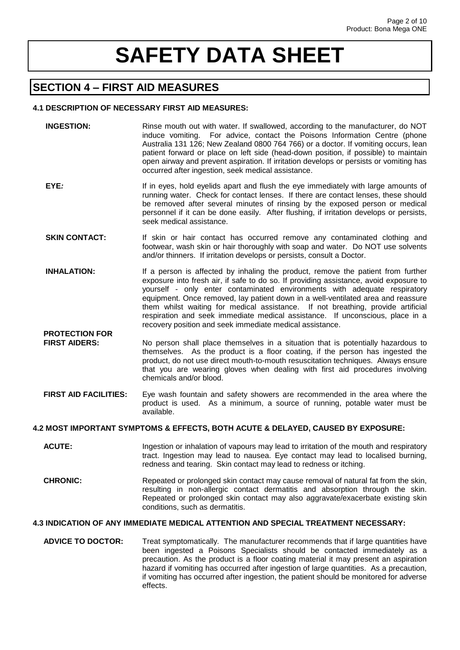# **SECTION 4 – FIRST AID MEASURES**

 **PROTECTION FOR** 

### **4.1 DESCRIPTION OF NECESSARY FIRST AID MEASURES:**

- **INGESTION:** Rinse mouth out with water. If swallowed, according to the manufacturer, do NOT induce vomiting. For advice, contact the Poisons Information Centre (phone Australia 131 126; New Zealand 0800 764 766) or a doctor. If vomiting occurs, lean patient forward or place on left side (head-down position, if possible) to maintain open airway and prevent aspiration. If irritation develops or persists or vomiting has occurred after ingestion, seek medical assistance.
- **EYE**: If in eyes, hold eyelids apart and flush the eye immediately with large amounts of running water. Check for contact lenses. If there are contact lenses, these should be removed after several minutes of rinsing by the exposed person or medical personnel if it can be done easily. After flushing, if irritation develops or persists, seek medical assistance.
- **SKIN CONTACT:** If skin or hair contact has occurred remove any contaminated clothing and footwear, wash skin or hair thoroughly with soap and water. Do NOT use solvents and/or thinners. If irritation develops or persists, consult a Doctor.
- **INHALATION:** If a person is affected by inhaling the product, remove the patient from further exposure into fresh air, if safe to do so. If providing assistance, avoid exposure to yourself - only enter contaminated environments with adequate respiratory equipment. Once removed, lay patient down in a well-ventilated area and reassure them whilst waiting for medical assistance. If not breathing, provide artificial respiration and seek immediate medical assistance. If unconscious, place in a recovery position and seek immediate medical assistance.
- **FIRST AIDERS:** No person shall place themselves in a situation that is potentially hazardous to themselves. As the product is a floor coating, if the person has ingested the product, do not use direct mouth-to-mouth resuscitation techniques. Always ensure that you are wearing gloves when dealing with first aid procedures involving chemicals and/or blood.
- **FIRST AID FACILITIES:** Eye wash fountain and safety showers are recommended in the area where the product is used. As a minimum, a source of running, potable water must be available.

### **4.2 MOST IMPORTANT SYMPTOMS & EFFECTS, BOTH ACUTE & DELAYED, CAUSED BY EXPOSURE:**

- **ACUTE:** Ingestion or inhalation of vapours may lead to irritation of the mouth and respiratory tract. Ingestion may lead to nausea. Eye contact may lead to localised burning, redness and tearing. Skin contact may lead to redness or itching.
- **CHRONIC:** Repeated or prolonged skin contact may cause removal of natural fat from the skin, resulting in non-allergic contact dermatitis and absorption through the skin. Repeated or prolonged skin contact may also aggravate/exacerbate existing skin conditions, such as dermatitis.

### **4.3 INDICATION OF ANY IMMEDIATE MEDICAL ATTENTION AND SPECIAL TREATMENT NECESSARY:**

 **ADVICE TO DOCTOR:** Treat symptomatically. The manufacturer recommends that if large quantities have been ingested a Poisons Specialists should be contacted immediately as a precaution. As the product is a floor coating material it may present an aspiration hazard if vomiting has occurred after ingestion of large quantities. As a precaution, if vomiting has occurred after ingestion, the patient should be monitored for adverse effects.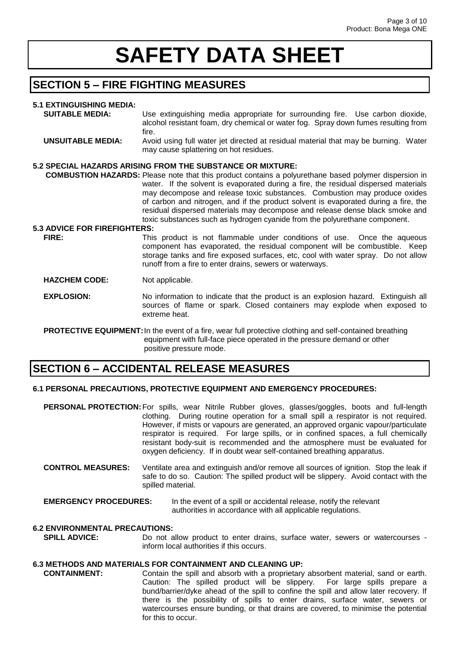# **SECTION 5 – FIRE FIGHTING MEASURES**

# **5.1 EXTINGUISHING MEDIA:**

| <u>J.I LAIINUUIUIIIIU MLDIA.</u>    |                                                                                                              |
|-------------------------------------|--------------------------------------------------------------------------------------------------------------|
| <b>SUITABLE MEDIA:</b>              | Use extinguishing media appropriate for surrounding fire. Use carbon dioxide,                                |
|                                     | alcohol resistant foam, dry chemical or water fog. Spray down fumes resulting from                           |
|                                     | fire.                                                                                                        |
| <b>UNSUITABLE MEDIA:</b>            | Avoid using full water jet directed at residual material that may be burning. Water                          |
|                                     | may cause splattering on hot residues.                                                                       |
|                                     | 5.2 SPECIAL HAZARDS ARISING FROM THE SUBSTANCE OR MIXTURE:                                                   |
|                                     | <b>COMBUSTION HAZARDS:</b> Please note that this product contains a polyurethane based polymer dispersion in |
|                                     |                                                                                                              |
|                                     | water. If the solvent is evaporated during a fire, the residual dispersed materials                          |
|                                     | may decompose and release toxic substances. Combustion may produce oxides                                    |
|                                     | of carbon and nitrogen, and if the product solvent is evaporated during a fire, the                          |
|                                     | residual dispersed materials may decompose and release dense black smoke and                                 |
|                                     | toxic substances such as hydrogen cyanide from the polyurethane component.                                   |
|                                     |                                                                                                              |
| <b>5.3 ADVICE FOR FIREFIGHTERS:</b> |                                                                                                              |
| FIRE:                               | This product is not flammable under conditions of use. Once the aqueous                                      |
|                                     | component has evaporated, the residual component will be combustible. Keep                                   |
|                                     | storage tanks and fire exposed surfaces, etc, cool with water spray. Do not allow                            |
|                                     |                                                                                                              |
|                                     | runoff from a fire to enter drains, sewers or waterways.                                                     |

#### **HAZCHEM CODE:** Not applicable.

**EXPLOSION:** No information to indicate that the product is an explosion hazard. Extinguish all sources of flame or spark. Closed containers may explode when exposed to extreme heat.

**PROTECTIVE EQUIPMENT:** In the event of a fire, wear full protective clothing and self-contained breathing equipment with full-face piece operated in the pressure demand or other positive pressure mode.

# **SECTION 6 – ACCIDENTAL RELEASE MEASURES**

### **6.1 PERSONAL PRECAUTIONS, PROTECTIVE EQUIPMENT AND EMERGENCY PROCEDURES:**

 **PERSONAL PROTECTION:** For spills, wear Nitrile Rubber gloves, glasses/goggles, boots and full-length clothing. During routine operation for a small spill a respirator is not required. However, if mists or vapours are generated, an approved organic vapour/particulate respirator is required. For large spills, or in confined spaces, a full chemically resistant body-suit is recommended and the atmosphere must be evaluated for oxygen deficiency. If in doubt wear self-contained breathing apparatus.

 **CONTROL MEASURES:** Ventilate area and extinguish and/or remove all sources of ignition. Stop the leak if safe to do so. Caution: The spilled product will be slippery. Avoid contact with the spilled material.

#### **EMERGENCY PROCEDURES:** In the event of a spill or accidental release, notify the relevant authorities in accordance with all applicable regulations.

### **6.2 ENVIRONMENTAL PRECAUTIONS:**

**SPILL ADVICE:** Do not allow product to enter drains, surface water, sewers or watercourses inform local authorities if this occurs.

### **6.3 METHODS AND MATERIALS FOR CONTAINMENT AND CLEANING UP:**

 **CONTAINMENT:** Contain the spill and absorb with a proprietary absorbent material, sand or earth. Caution: The spilled product will be slippery. For large spills prepare a bund/barrier/dyke ahead of the spill to confine the spill and allow later recovery. If there is the possibility of spills to enter drains, surface water, sewers or watercourses ensure bunding, or that drains are covered, to minimise the potential for this to occur.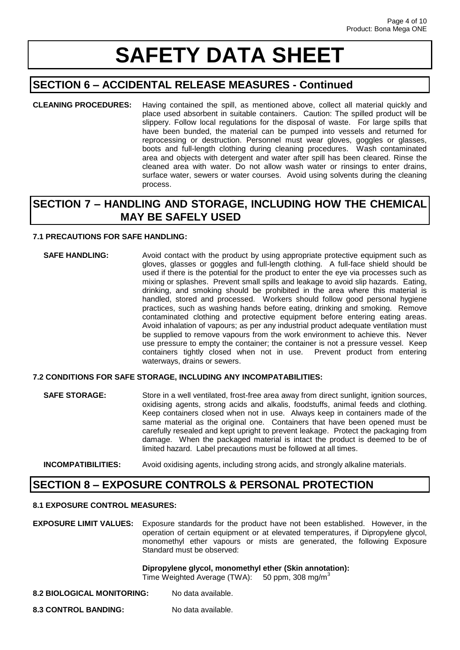# **SECTION 6 – ACCIDENTAL RELEASE MEASURES - Continued**

**CLEANING PROCEDURES:** Having contained the spill, as mentioned above, collect all material quickly and place used absorbent in suitable containers. Caution: The spilled product will be slippery. Follow local regulations for the disposal of waste. For large spills that have been bunded, the material can be pumped into vessels and returned for reprocessing or destruction. Personnel must wear gloves, goggles or glasses, boots and full-length clothing during cleaning procedures. Wash contaminated area and objects with detergent and water after spill has been cleared. Rinse the cleaned area with water. Do not allow wash water or rinsings to enter drains, surface water, sewers or water courses. Avoid using solvents during the cleaning process.

# **SECTION 7 – HANDLING AND STORAGE, INCLUDING HOW THE CHEMICAL MAY BE SAFELY USED**

### **7.1 PRECAUTIONS FOR SAFE HANDLING:**

**SAFE HANDLING:** Avoid contact with the product by using appropriate protective equipment such as gloves, glasses or goggles and full-length clothing. A full-face shield should be used if there is the potential for the product to enter the eye via processes such as mixing or splashes. Prevent small spills and leakage to avoid slip hazards. Eating, drinking, and smoking should be prohibited in the area where this material is handled, stored and processed. Workers should follow good personal hygiene practices, such as washing hands before eating, drinking and smoking. Remove contaminated clothing and protective equipment before entering eating areas. Avoid inhalation of vapours; as per any industrial product adequate ventilation must be supplied to remove vapours from the work environment to achieve this. Never use pressure to empty the container; the container is not a pressure vessel. Keep containers tightly closed when not in use. Prevent product from entering waterways, drains or sewers.

### **7.2 CONDITIONS FOR SAFE STORAGE, INCLUDING ANY INCOMPATABILITIES:**

**SAFE STORAGE:** Store in a well ventilated, frost-free area away from direct sunlight, ignition sources, oxidising agents, strong acids and alkalis, foodstuffs, animal feeds and clothing. Keep containers closed when not in use. Always keep in containers made of the same material as the original one. Containers that have been opened must be carefully resealed and kept upright to prevent leakage. Protect the packaging from damage. When the packaged material is intact the product is deemed to be of limited hazard. Label precautions must be followed at all times.

### **INCOMPATIBILITIES:** Avoid oxidising agents, including strong acids, and strongly alkaline materials.

# **SECTION 8 – EXPOSURE CONTROLS & PERSONAL PROTECTION**

## **8.1 EXPOSURE CONTROL MEASURES:**

**EXPOSURE LIMIT VALUES:** Exposure standards for the product have not been established. However, in the operation of certain equipment or at elevated temperatures, if Dipropylene glycol, monomethyl ether vapours or mists are generated, the following Exposure Standard must be observed:

# **Dipropylene glycol, monomethyl ether (Skin annotation):**

Time Weighted Average (TWA):  $50$  ppm, 308 mg/m<sup>3</sup>

- **8.2 BIOLOGICAL MONITORING:** No data available.
- 8.3 CONTROL BANDING: No data available.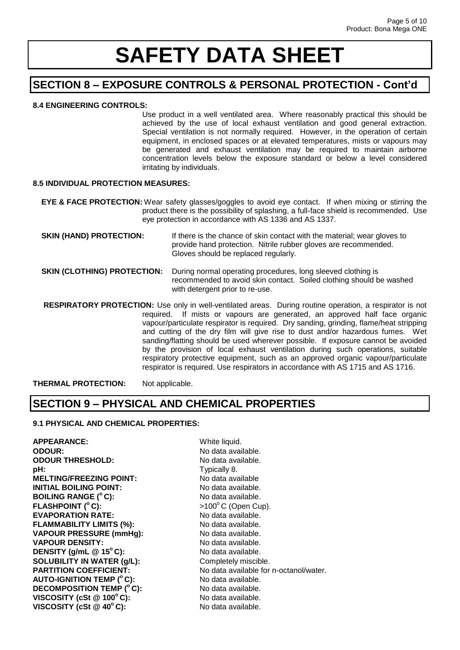# **SECTION 8 – EXPOSURE CONTROLS & PERSONAL PROTECTION - Cont'd**

# **8.4 ENGINEERING CONTROLS:**

Use product in a well ventilated area. Where reasonably practical this should be achieved by the use of local exhaust ventilation and good general extraction. Special ventilation is not normally required. However, in the operation of certain equipment, in enclosed spaces or at elevated temperatures, mists or vapours may be generated and exhaust ventilation may be required to maintain airborne concentration levels below the exposure standard or below a level considered irritating by individuals.

#### **8.5 INDIVIDUAL PROTECTION MEASURES:**

**EYE & FACE PROTECTION:** Wear safety glasses/goggles to avoid eye contact. If when mixing or stirring the product there is the possibility of splashing, a full-face shield is recommended. Use eye protection in accordance with AS 1336 and AS 1337.

**SKIN (HAND) PROTECTION:** If there is the chance of skin contact with the material; wear gloves to provide hand protection. Nitrile rubber gloves are recommended. Gloves should be replaced regularly.

#### **SKIN (CLOTHING) PROTECTION:** During normal operating procedures, long sleeved clothing is recommended to avoid skin contact. Soiled clothing should be washed with detergent prior to re-use.

 **RESPIRATORY PROTECTION:** Use only in well-ventilated areas. During routine operation, a respirator is not required. If mists or vapours are generated, an approved half face organic vapour/particulate respirator is required. Dry sanding, grinding, flame/heat stripping and cutting of the dry film will give rise to dust and/or hazardous fumes. Wet sanding/flatting should be used wherever possible. If exposure cannot be avoided by the provision of local exhaust ventilation during such operations, suitable respiratory protective equipment, such as an approved organic vapour/particulate respirator is required. Use respirators in accordance with AS 1715 and AS 1716.

**THERMAL PROTECTION:** Not applicable.

# **SECTION 9 – PHYSICAL AND CHEMICAL PROPERTIES**

## **9.1 PHYSICAL AND CHEMICAL PROPERTIES:**

**APPEARANCE:** White liquid. **ODOUR:** No data available. **ODOUR THRESHOLD:** No data available. **pH:** Typically 8.<br> **MELTING/FREEZING POINT:** No data available **MELTING/FREEZING POINT: INITIAL BOILING POINT:** No data available. **BOILING RANGE (<sup>o</sup>C):** No data available. **FLASHPOINT (° C):** >100°C (Open Cup). **EVAPORATION RATE:** No data available. **FLAMMABILITY LIMITS (%):** No data available. **VAPOUR PRESSURE (mmHg):** No data available. **VAPOUR DENSITY:** No data available. **DENSITY (g/mL @ 15<sup>o</sup>C):** No data available. **SOLUBILITY IN WATER (g/L):** Completely miscible. **AUTO-IGNITION TEMP (<sup>o</sup>C):** No data available. **DECOMPOSITION TEMP (°C):** No data available. **VISCOSITY (cSt @ 100°C):** No data available. **VISCOSITY (cSt @ 40°C):** No data available.

**PARTITION COEFFICIENT:** No data available for n-octanol/water.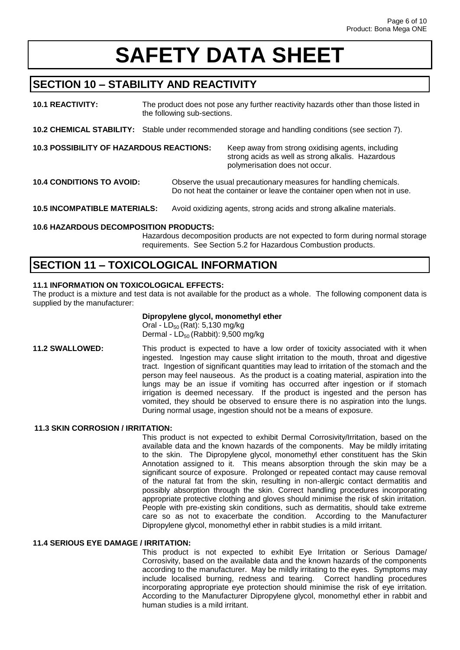# **SECTION 10 – STABILITY AND REACTIVITY**

**10.1 REACTIVITY:** The product does not pose any further reactivity hazards other than those listed in the following sub-sections. **10.2 CHEMICAL STABILITY:** Stable under recommended storage and handling conditions (see section 7). **10.3 POSSIBILITY OF HAZARDOUS REACTIONS:** Keep away from strong oxidising agents, including strong acids as well as strong alkalis. Hazardous polymerisation does not occur. **10.4 CONDITIONS TO AVOID:** Observe the usual precautionary measures for handling chemicals. Do not heat the container or leave the container open when not in use. **10.5 INCOMPATIBLE MATERIALS:** Avoid oxidizing agents, strong acids and strong alkaline materials. **10.6 HAZARDOUS DECOMPOSITION PRODUCTS:** 

Hazardous decomposition products are not expected to form during normal storage requirements. See Section 5.2 for Hazardous Combustion products.

# **SECTION 11 – TOXICOLOGICAL INFORMATION**

## **11.1 INFORMATION ON TOXICOLOGICAL EFFECTS:**

The product is a mixture and test data is not available for the product as a whole. The following component data is supplied by the manufacturer:

# **Dipropylene glycol, monomethyl ether**

Oral -  $LD_{50}$  (Rat): 5,130 mg/kg Dermal -  $LD_{50}$  (Rabbit):  $9,500$  mg/kg

**11.2 SWALLOWED:** This product is expected to have a low order of toxicity associated with it when ingested.Ingestion may cause slight irritation to the mouth, throat and digestive tract. Ingestion of significant quantities may lead to irritation of the stomach and the person may feel nauseous. As the product is a coating material, aspiration into the lungs may be an issue if vomiting has occurred after ingestion or if stomach irrigation is deemed necessary. If the product is ingested and the person has vomited, they should be observed to ensure there is no aspiration into the lungs. During normal usage, ingestion should not be a means of exposure.

### **11.3 SKIN CORROSION / IRRITATION:**

This product is not expected to exhibit Dermal Corrosivity/Irritation, based on the available data and the known hazards of the components. May be mildly irritating to the skin. The Dipropylene glycol, monomethyl ether constituent has the Skin Annotation assigned to it. This means absorption through the skin may be a significant source of exposure. Prolonged or repeated contact may cause removal of the natural fat from the skin, resulting in non-allergic contact dermatitis and possibly absorption through the skin. Correct handling procedures incorporating appropriate protective clothing and gloves should minimise the risk of skin irritation. People with pre-existing skin conditions, such as dermatitis, should take extreme care so as not to exacerbate the condition. According to the Manufacturer Dipropylene glycol, monomethyl ether in rabbit studies is a mild irritant.

### **11.4 SERIOUS EYE DAMAGE / IRRITATION:**

This product is not expected to exhibit Eye Irritation or Serious Damage/ Corrosivity, based on the available data and the known hazards of the components according to the manufacturer. May be mildly irritating to the eyes. Symptoms may include localised burning, redness and tearing. Correct handling procedures incorporating appropriate eye protection should minimise the risk of eye irritation. According to the Manufacturer Dipropylene glycol, monomethyl ether in rabbit and human studies is a mild irritant.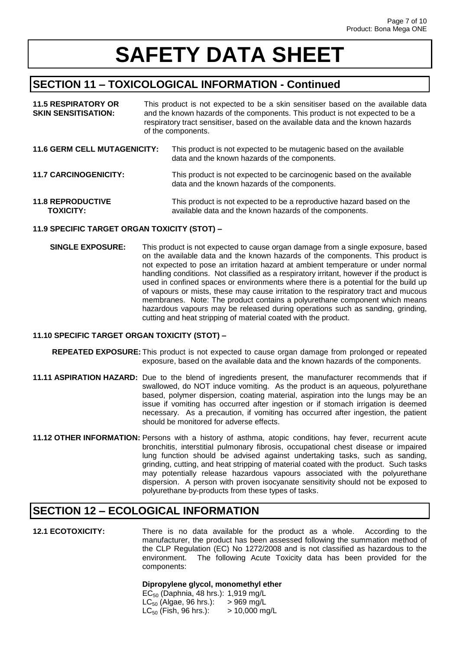# **SECTION 11 – TOXICOLOGICAL INFORMATION - Continued**

| <b>11.5 RESPIRATORY OR</b><br><b>SKIN SENSITISATION:</b> | This product is not expected to be a skin sensitiser based on the available data<br>and the known hazards of the components. This product is not expected to be a<br>respiratory tract sensitiser, based on the available data and the known hazards<br>of the components. |                                                                                                                         |
|----------------------------------------------------------|----------------------------------------------------------------------------------------------------------------------------------------------------------------------------------------------------------------------------------------------------------------------------|-------------------------------------------------------------------------------------------------------------------------|
| <b>11.6 GERM CELL MUTAGENICITY:</b>                      |                                                                                                                                                                                                                                                                            | This product is not expected to be mutagenic based on the available<br>data and the known hazards of the components.    |
| <b>11.7 CARCINOGENICITY:</b>                             |                                                                                                                                                                                                                                                                            | This product is not expected to be carcinogenic based on the available<br>data and the known hazards of the components. |

**11.8 REPRODUCTIVE** This product is not expected to be a reproductive hazard based on the **TOXICITY:** available data and the known hazards of the components.

### **11.9 SPECIFIC TARGET ORGAN TOXICITY (STOT) –**

 **SINGLE EXPOSURE:** This product is not expected to cause organ damage from a single exposure, based on the available data and the known hazards of the components. This product is not expected to pose an irritation hazard at ambient temperature or under normal handling conditions. Not classified as a respiratory irritant, however if the product is used in confined spaces or environments where there is a potential for the build up of vapours or mists, these may cause irritation to the respiratory tract and mucous membranes. Note: The product contains a polyurethane component which means hazardous vapours may be released during operations such as sanding, grinding, cutting and heat stripping of material coated with the product.

### **11.10 SPECIFIC TARGET ORGAN TOXICITY (STOT) –**

 **REPEATED EXPOSURE:** This product is not expected to cause organ damage from prolonged or repeated exposure, based on the available data and the known hazards of the components.

- **11.11 ASPIRATION HAZARD:** Due to the blend of ingredients present, the manufacturer recommends that if swallowed, do NOT induce vomiting. As the product is an aqueous, polyurethane based, polymer dispersion, coating material, aspiration into the lungs may be an issue if vomiting has occurred after ingestion or if stomach irrigation is deemed necessary. As a precaution, if vomiting has occurred after ingestion, the patient should be monitored for adverse effects.
- **11.12 OTHER INFORMATION:** Persons with a history of asthma, atopic conditions, hay fever, recurrent acute bronchitis, interstitial pulmonary fibrosis, occupational chest disease or impaired lung function should be advised against undertaking tasks, such as sanding, grinding, cutting, and heat stripping of material coated with the product. Such tasks may potentially release hazardous vapours associated with the polyurethane dispersion. A person with proven isocyanate sensitivity should not be exposed to polyurethane by-products from these types of tasks.

# **SECTION 12 – ECOLOGICAL INFORMATION**

**12.1 ECOTOXICITY:** There is no data available for the product as a whole. According to the manufacturer, the product has been assessed following the summation method of the CLP Regulation (EC) No 1272/2008 and is not classified as hazardous to the environment. The following Acute Toxicity data has been provided for the components:

#### **Dipropylene glycol, monomethyl ether**

 $EC_{50}$  (Daphnia, 48 hrs.): 1,919 mg/L  $LC_{50}$  (Algae, 96 hrs.): > 969 mg/L  $LC_{50}$  (Fish, 96 hrs.):  $> 10,000$  mg/L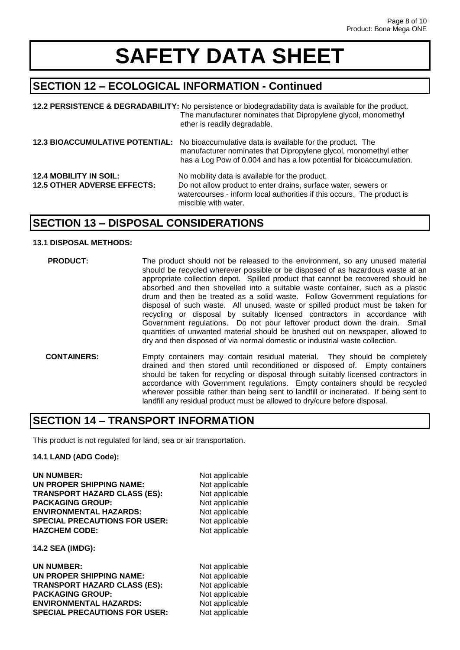# **SECTION 12 – ECOLOGICAL INFORMATION - Continued**

|                                                                     | 12.2 PERSISTENCE & DEGRADABILITY: No persistence or biodegradability data is available for the product.<br>The manufacturer nominates that Dipropylene glycol, monomethyl<br>ether is readily degradable.                            |
|---------------------------------------------------------------------|--------------------------------------------------------------------------------------------------------------------------------------------------------------------------------------------------------------------------------------|
|                                                                     | 12.3 BIOACCUMULATIVE POTENTIAL: No bioaccumulative data is available for the product. The<br>manufacturer nominates that Dipropylene glycol, monomethyl ether<br>has a Log Pow of 0.004 and has a low potential for bioaccumulation. |
| <b>12.4 MOBILITY IN SOIL:</b><br><b>12.5 OTHER ADVERSE EFFECTS:</b> | No mobility data is available for the product.<br>Do not allow product to enter drains, surface water, sewers or<br>watercourses - inform local authorities if this occurs. The product is<br>miscible with water.                   |

# **SECTION 13 – DISPOSAL CONSIDERATIONS**

#### **13.1 DISPOSAL METHODS:**

- **PRODUCT:** The product should not be released to the environment, so any unused material should be recycled wherever possible or be disposed of as hazardous waste at an appropriate collection depot. Spilled product that cannot be recovered should be absorbed and then shovelled into a suitable waste container, such as a plastic drum and then be treated as a solid waste. Follow Government regulations for disposal of such waste. All unused, waste or spilled product must be taken for recycling or disposal by suitably licensed contractors in accordance with Government regulations. Do not pour leftover product down the drain. Small quantities of unwanted material should be brushed out on newspaper, allowed to dry and then disposed of via normal domestic or industrial waste collection.  **CONTAINERS:** Empty containers may contain residual material. They should be completely
	- drained and then stored until reconditioned or disposed of. Empty containers should be taken for recycling or disposal through suitably licensed contractors in accordance with Government regulations. Empty containers should be recycled wherever possible rather than being sent to landfill or incinerated. If being sent to landfill any residual product must be allowed to dry/cure before disposal.

# **SECTION 14 – TRANSPORT INFORMATION**

This product is not regulated for land, sea or air transportation.

#### **14.1 LAND (ADG Code):**

| <b>UN NUMBER:</b>                    |
|--------------------------------------|
| UN PROPER SHIPPING NAME:             |
| <b>TRANSPORT HAZARD CLASS (ES):</b>  |
| <b>PACKAGING GROUP:</b>              |
| <b>ENVIRONMENTAL HAZARDS:</b>        |
| <b>SPECIAL PRECAUTIONS FOR USER:</b> |
| <b>HAZCHEM CODE:</b>                 |

**Not applicable Not applicable Not applicable Not applicable Not applicable Not applicable Not applicable** 

**14.2 SEA (IMDG):**

| UN NUMBER:                           | Not applicable |
|--------------------------------------|----------------|
| UN PROPER SHIPPING NAME:             | Not applicable |
| <b>TRANSPORT HAZARD CLASS (ES):</b>  | Not applicable |
| <b>PACKAGING GROUP:</b>              | Not applicable |
| <b>ENVIRONMENTAL HAZARDS:</b>        | Not applicable |
| <b>SPECIAL PRECAUTIONS FOR USER:</b> | Not applicable |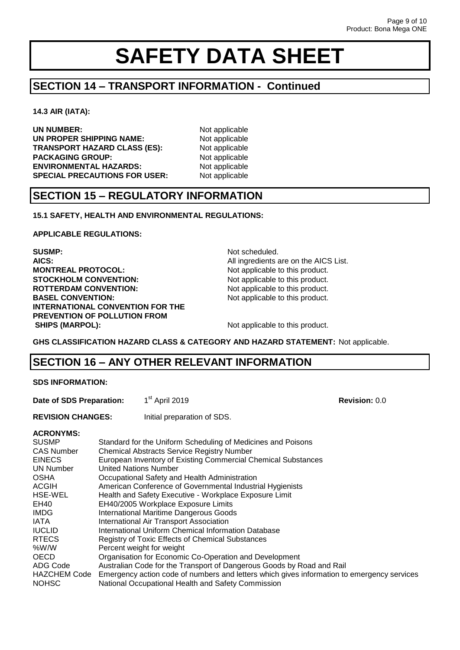# **SECTION 14 – TRANSPORT INFORMATION - Continued**

**14.3 AIR (IATA):**

**UN NUMBER:** Not applicable **UN PROPER SHIPPING NAME:** Not applicable<br> **TRANSPORT HAZARD CLASS (ES):** Not applicable **TRANSPORT HAZARD CLASS (ES):** Not applicable<br>**PACKAGING GROUP:** Not applicable **PACKAGING GROUP: ENVIRONMENTAL HAZARDS:** Not applicable **SPECIAL PRECAUTIONS FOR USER:** Not applicable

# **SECTION 15 – REGULATORY INFORMATION**

**15.1 SAFETY, HEALTH AND ENVIRONMENTAL REGULATIONS:**

**APPLICABLE REGULATIONS:**

**SUSMP:** Not scheduled. **AICS:** AICS: **AICS:** All ingredients are on the AICS List. **MONTREAL PROTOCOL:** Not applicable to this product. **STOCKHOLM CONVENTION:** Not applicable to this product. **ROTTERDAM CONVENTION:** Not applicable to this product. **BASEL CONVENTION:** Not applicable to this product. **INTERNATIONAL CONVENTION FOR THE PREVENTION OF POLLUTION FROM SHIPS (MARPOL):** Not applicable to this product.

**GHS CLASSIFICATION HAZARD CLASS & CATEGORY AND HAZARD STATEMENT:** Not applicable.

# **SECTION 16 – ANY OTHER RELEVANT INFORMATION**

**Date of SDS Preparation:** st April 2019 **Revision:** 0.0

**REVISION CHANGES:** Initial preparation of SDS.

### **ACRONYMS:**

| AURUNTING.          |                                                                                            |
|---------------------|--------------------------------------------------------------------------------------------|
| <b>SUSMP</b>        | Standard for the Uniform Scheduling of Medicines and Poisons                               |
| <b>CAS Number</b>   | <b>Chemical Abstracts Service Registry Number</b>                                          |
| <b>EINECS</b>       | European Inventory of Existing Commercial Chemical Substances                              |
| <b>UN Number</b>    | United Nations Number                                                                      |
| <b>OSHA</b>         | Occupational Safety and Health Administration                                              |
| <b>ACGIH</b>        | American Conference of Governmental Industrial Hygienists                                  |
| <b>HSE-WEL</b>      | Health and Safety Executive - Workplace Exposure Limit                                     |
| EH40                | EH40/2005 Workplace Exposure Limits                                                        |
| <b>IMDG</b>         | <b>International Maritime Dangerous Goods</b>                                              |
| <b>IATA</b>         | International Air Transport Association                                                    |
| <b>IUCLID</b>       | International Uniform Chemical Information Database                                        |
| <b>RTECS</b>        | <b>Registry of Toxic Effects of Chemical Substances</b>                                    |
| %W/W                | Percent weight for weight                                                                  |
| <b>OECD</b>         | Organisation for Economic Co-Operation and Development                                     |
| ADG Code            | Australian Code for the Transport of Dangerous Goods by Road and Rail                      |
| <b>HAZCHEM Code</b> | Emergency action code of numbers and letters which gives information to emergency services |
| <b>NOHSC</b>        | National Occupational Health and Safety Commission                                         |